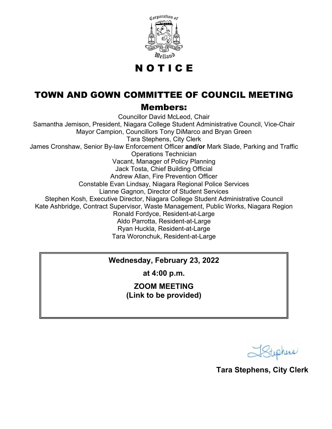

N O T I C E

## TOWN AND GOWN COMMITTEE OF COUNCIL MEETING

## Members:

Councillor David McLeod, Chair Samantha Jemison, President, Niagara College Student Administrative Council, Vice-Chair Mayor Campion, Councillors Tony DiMarco and Bryan Green Tara Stephens, City Clerk James Cronshaw, Senior By-law Enforcement Officer **and/or** Mark Slade, Parking and Traffic Operations Technician Vacant, Manager of Policy Planning Jack Tosta, Chief Building Official Andrew Allan, Fire Prevention Officer Constable Evan Lindsay, Niagara Regional Police Services Lianne Gagnon, Director of Student Services Stephen Kosh, Executive Director, Niagara College Student Administrative Council Kate Ashbridge, Contract Supervisor, Waste Management, Public Works, Niagara Region Ronald Fordyce, Resident-at-Large Aldo Parrotta, Resident-at-Large Ryan Huckla, Resident-at-Large Tara Woronchuk, Resident-at-Large

## **Wednesday, February 23, 2022**

**at 4:00 p.m.**

**ZOOM MEETING (Link to be provided)**

Stephens

**Tara Stephens, City Clerk**